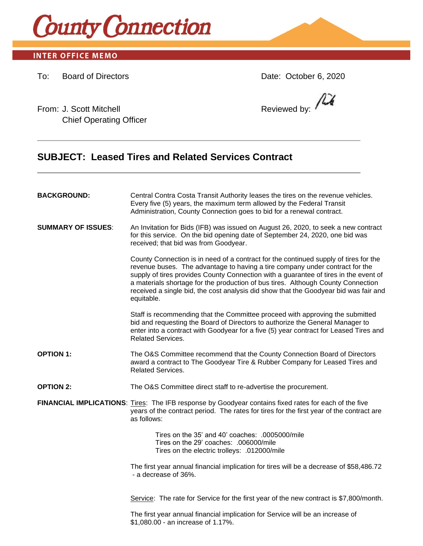

## **INTER OFFICE MEMO**

To: Board of Directors Date: October 6, 2020

From: J. Scott Mitchell **Reviewed by: Reviewed by: Reviewed by: Reviewed by: Reviewed by: Reviewed by: Reviewed by: Reviewed by: Reviewed by: Reviewed by: Reviewed by: Reviewed by: Reviewed by: Re** Chief Operating Officer

/LX

# **SUBJECT: Leased Tires and Related Services Contract**

| <b>BACKGROUND:</b>        | Central Contra Costa Transit Authority leases the tires on the revenue vehicles.<br>Every five (5) years, the maximum term allowed by the Federal Transit<br>Administration, County Connection goes to bid for a renewal contract.                                                                                                                                                                                                                     |
|---------------------------|--------------------------------------------------------------------------------------------------------------------------------------------------------------------------------------------------------------------------------------------------------------------------------------------------------------------------------------------------------------------------------------------------------------------------------------------------------|
| <b>SUMMARY OF ISSUES:</b> | An Invitation for Bids (IFB) was issued on August 26, 2020, to seek a new contract<br>for this service. On the bid opening date of September 24, 2020, one bid was<br>received; that bid was from Goodyear.                                                                                                                                                                                                                                            |
|                           | County Connection is in need of a contract for the continued supply of tires for the<br>revenue buses. The advantage to having a tire company under contract for the<br>supply of tires provides County Connection with a guarantee of tires in the event of<br>a materials shortage for the production of bus tires. Although County Connection<br>received a single bid, the cost analysis did show that the Goodyear bid was fair and<br>equitable. |
|                           | Staff is recommending that the Committee proceed with approving the submitted<br>bid and requesting the Board of Directors to authorize the General Manager to<br>enter into a contract with Goodyear for a five (5) year contract for Leased Tires and<br><b>Related Services.</b>                                                                                                                                                                    |
| <b>OPTION 1:</b>          | The O&S Committee recommend that the County Connection Board of Directors<br>award a contract to The Goodyear Tire & Rubber Company for Leased Tires and<br><b>Related Services.</b>                                                                                                                                                                                                                                                                   |
| <b>OPTION 2:</b>          | The O&S Committee direct staff to re-advertise the procurement.                                                                                                                                                                                                                                                                                                                                                                                        |
|                           | FINANCIAL IMPLICATIONS: Tires: The IFB response by Goodyear contains fixed rates for each of the five<br>years of the contract period. The rates for tires for the first year of the contract are<br>as follows:                                                                                                                                                                                                                                       |
|                           | Tires on the 35' and 40' coaches: .0005000/mile<br>Tires on the 29' coaches: .006000/mile<br>Tires on the electric trolleys: .012000/mile                                                                                                                                                                                                                                                                                                              |
|                           | The first year annual financial implication for tires will be a decrease of \$58,486.72<br>- a decrease of 36%.                                                                                                                                                                                                                                                                                                                                        |
|                           | Service: The rate for Service for the first year of the new contract is \$7,800/month.                                                                                                                                                                                                                                                                                                                                                                 |
|                           | The first year annual financial implication for Service will be an increase of                                                                                                                                                                                                                                                                                                                                                                         |

\$1,080.00 - an increase of 1.17%.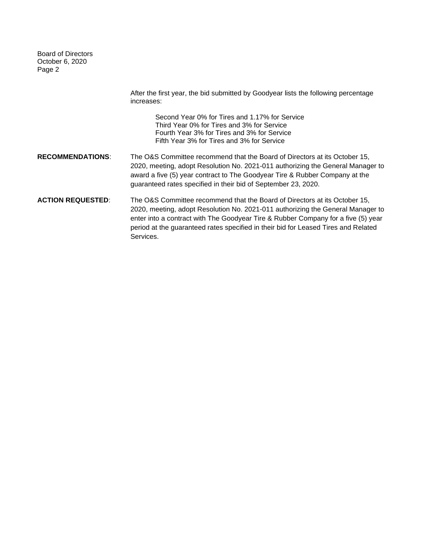Board of Directors October 6, 2020 Page 2

After the first year, the bid submitted by Goodyear lists the following percentage increases: Second Year 0% for Tires and 1.17% for Service Third Year 0% for Tires and 3% for Service Fourth Year 3% for Tires and 3% for Service Fifth Year 3% for Tires and 3% for Service **RECOMMENDATIONS**: The O&S Committee recommend that the Board of Directors at its October 15, 2020, meeting, adopt Resolution No. 2021-011 authorizing the General Manager to award a five (5) year contract to The Goodyear Tire & Rubber Company at the guaranteed rates specified in their bid of September 23, 2020. **ACTION REQUESTED**: The O&S Committee recommend that the Board of Directors at its October 15, 2020, meeting, adopt Resolution No. 2021-011 authorizing the General Manager to enter into a contract with The Goodyear Tire & Rubber Company for a five (5) year period at the guaranteed rates specified in their bid for Leased Tires and Related Services.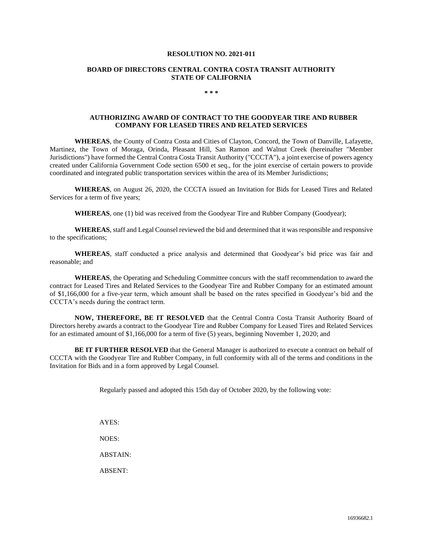#### **RESOLUTION NO. 2021-011**

#### **BOARD OF DIRECTORS CENTRAL CONTRA COSTA TRANSIT AUTHORITY STATE OF CALIFORNIA**

#### **\* \* \***

### **AUTHORIZING AWARD OF CONTRACT TO THE GOODYEAR TIRE AND RUBBER COMPANY FOR LEASED TIRES AND RELATED SERVICES**

**WHEREAS**, the County of Contra Costa and Cities of Clayton, Concord, the Town of Danville, Lafayette, Martinez, the Town of Moraga, Orinda, Pleasant Hill, San Ramon and Walnut Creek (hereinafter "Member Jurisdictions") have formed the Central Contra Costa Transit Authority ("CCCTA"), a joint exercise of powers agency created under California Government Code section 6500 et seq., for the joint exercise of certain powers to provide coordinated and integrated public transportation services within the area of its Member Jurisdictions;

**WHEREAS**, on August 26, 2020, the CCCTA issued an Invitation for Bids for Leased Tires and Related Services for a term of five years;

**WHEREAS**, one (1) bid was received from the Goodyear Tire and Rubber Company (Goodyear);

**WHEREAS**, staff and Legal Counsel reviewed the bid and determined that it was responsible and responsive to the specifications;

**WHEREAS**, staff conducted a price analysis and determined that Goodyear's bid price was fair and reasonable; and

**WHEREAS**, the Operating and Scheduling Committee concurs with the staff recommendation to award the contract for Leased Tires and Related Services to the Goodyear Tire and Rubber Company for an estimated amount of \$1,166,000 for a five-year term, which amount shall be based on the rates specified in Goodyear's bid and the CCCTA's needs during the contract term.

**NOW, THEREFORE, BE IT RESOLVED** that the Central Contra Costa Transit Authority Board of Directors hereby awards a contract to the Goodyear Tire and Rubber Company for Leased Tires and Related Services for an estimated amount of \$1,166,000 for a term of five (5) years, beginning November 1, 2020; and

**BE IT FURTHER RESOLVED** that the General Manager is authorized to execute a contract on behalf of CCCTA with the Goodyear Tire and Rubber Company, in full conformity with all of the terms and conditions in the Invitation for Bids and in a form approved by Legal Counsel.

Regularly passed and adopted this 15th day of October 2020, by the following vote:

AYES:

NOES:

ABSTAIN:

ABSENT: